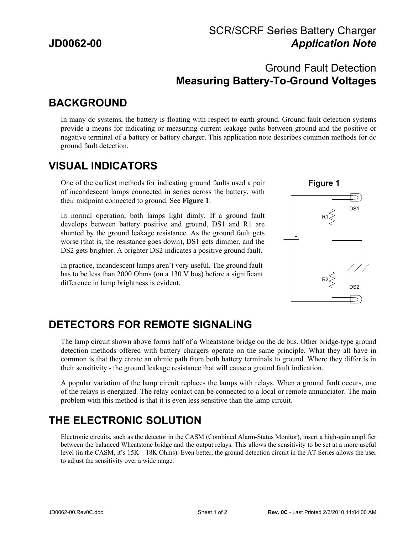### SCR/SCRF Series Battery Charger **JD0062-00** *Application Note*

#### Ground Fault Detection **Measuring Battery-To-Ground Voltages**

# **BACKGROUND**

In many dc systems, the battery is floating with respect to earth ground. Ground fault detection systems provide a means for indicating or measuring current leakage paths between ground and the positive or negative terminal of a battery or battery charger. This application note describes common methods for dc ground fault detection.

## **VISUAL INDICATORS**

One of the earliest methods for indicating ground faults used a pair of incandescent lamps connected in series across the battery, with their midpoint connected to ground. See **Figure 1**.

In normal operation, both lamps light dimly. If a ground fault develops between battery positive and ground, DS1 and R1 are shunted by the ground leakage resistance. As the ground fault gets worse (that is, the resistance goes down), DS1 gets dimmer, and the DS2 gets brighter. A brighter DS2 indicates a positive ground fault.

In practice, incandescent lamps aren't very useful. The ground fault has to be less than 2000 Ohms (on a 130 V bus) before a significant difference in lamp brightness is evident.



### **DETECTORS FOR REMOTE SIGNALING**

The lamp circuit shown above forms half of a Wheatstone bridge on the dc bus. Other bridge-type ground detection methods offered with battery chargers operate on the same principle. What they all have in common is that they create an ohmic path from both battery terminals to ground. Where they differ is in their sensitivity - the ground leakage resistance that will cause a ground fault indication.

A popular variation of the lamp circuit replaces the lamps with relays. When a ground fault occurs, one of the relays is energized. The relay contact can be connected to a local or remote annunciator. The main problem with this method is that it is even less sensitive than the lamp circuit.

# **THE ELECTRONIC SOLUTION**

Electronic circuits, such as the detector in the CASM (Combined Alarm-Status Monitor), insert a high-gain amplifier between the balanced Wheatstone bridge and the output relays. This allows the sensitivity to be set at a more useful level (in the CASM, it's 15K – 18K Ohms). Even better, the ground detection circuit in the AT Series allows the user to adjust the sensitivity over a wide range.